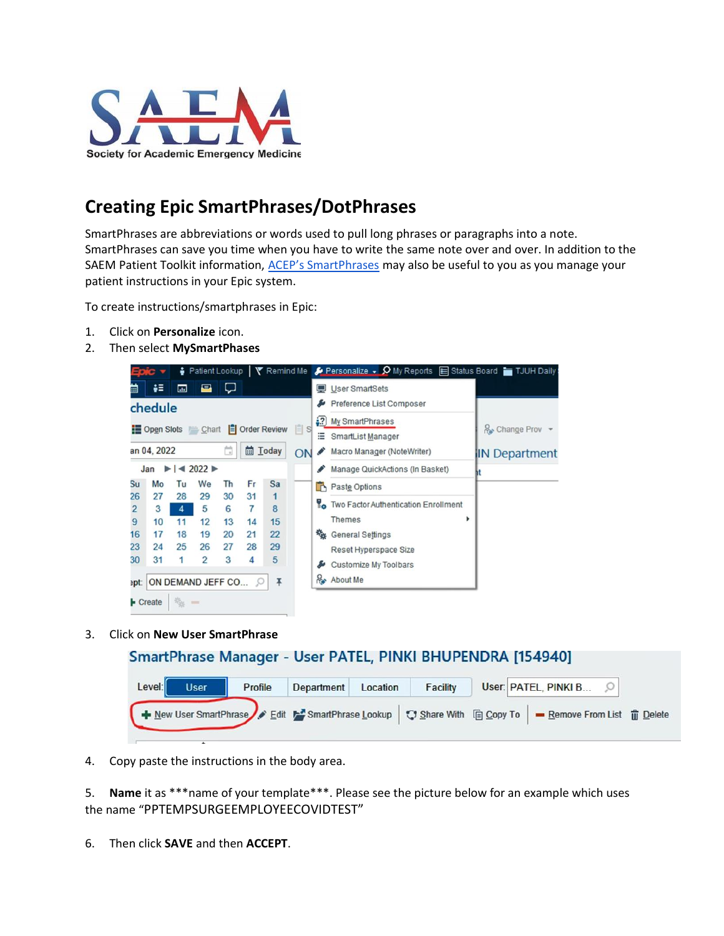

# **Creating Epic SmartPhrases/DotPhrases**

SmartPhrases are abbreviations or words used to pull long phrases or paragraphs into a note. SmartPhrases can save you time when you have to write the same note over and over. In addition to the SAEM Patient Toolkit information, [ACEP's SmartPhrases](https://www.acep.org/patient-care/smart-phrases/) may also be useful to you as you manage your patient instructions in your Epic system.

To create instructions/smartphrases in Epic:

- 1. Click on **Personalize** icon.
- 2. Then select **MySmartPhases**



3. Click on **New User SmartPhrase**

### SmartPhrase Manager - User PATEL, PINKI BHUPENDRA [154940]

| Level: | User | Profile | Department | Location | Facility | User: PATEL, PINKI B                                                                                         |  |
|--------|------|---------|------------|----------|----------|--------------------------------------------------------------------------------------------------------------|--|
|        |      |         |            |          |          | + New User SmartPhrase / Edit F SmartPhrase Lookup   ♡ Share With   Copy To   - Remove From List   10 Delete |  |

4. Copy paste the instructions in the body area.

5. **Name** it as \*\*\* name of your template\*\*\*. Please see the picture below for an example which uses the name "PPTEMPSURGEEMPLOYEECOVIDTEST"

6. Then click **SAVE** and then **ACCEPT**.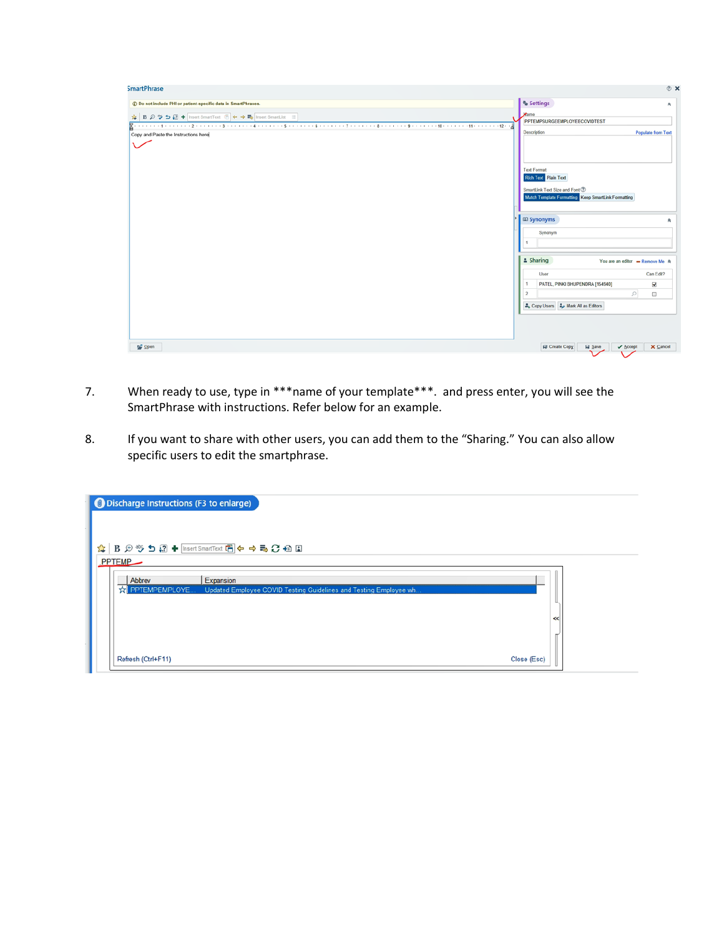

- 7. When ready to use, type in \*\*\* name of your template \*\*\*. and press enter, you will see the SmartPhrase with instructions. Refer below for an example.
- 8. If you want to share with other users, you can add them to the "Sharing." You can also allow specific users to edit the smartphrase.

| <b>OD</b> Discharge Instructions (F3 to enlarge)                                                                          |             |  |
|---------------------------------------------------------------------------------------------------------------------------|-------------|--|
| ☆B分ツコヨ+ Insert SmartText 百々→马〇ね日                                                                                          |             |  |
| PPTEMP<br>Expansion<br>Abbrev<br><b>X</b> PPTEMPEMPLOYE Updated Employee COVID Testing Guidelines and Testing Employee wh | <<          |  |
| Refresh (Ctrl+F11)                                                                                                        | Close (Esc) |  |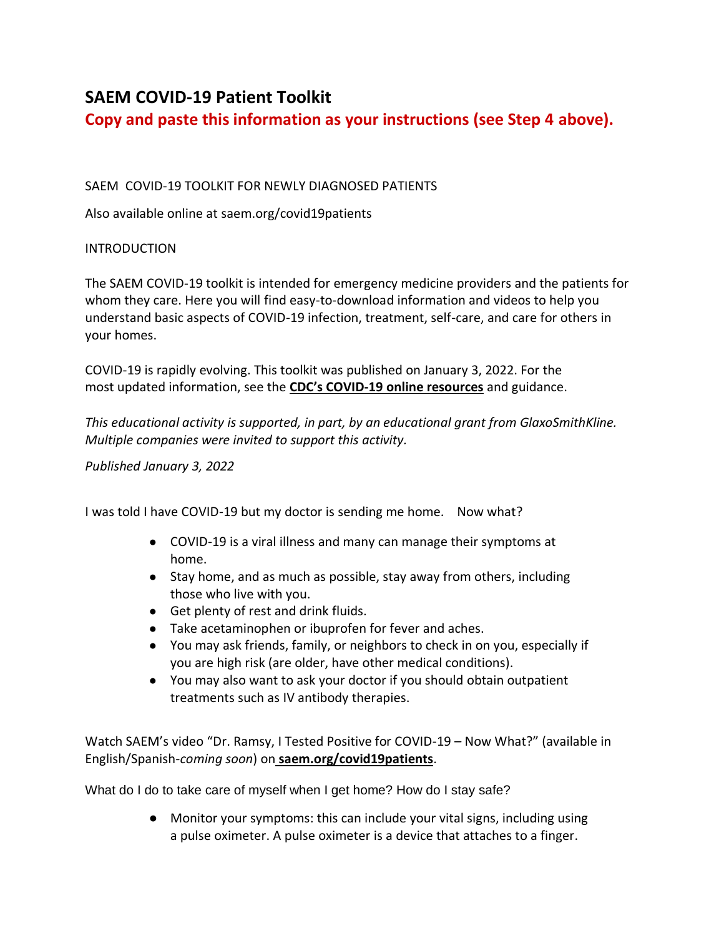# **SAEM COVID-19 Patient Toolkit**

**Copy and paste this information as your instructions (see Step 4 above).**

SAEM [COVID-19 TOOLKIT FOR NEWLY DIAGNOSED PATIENTS](https://www.saem.org/education/saem-online-academic-resources/wellness-and-resilience/covid-19-patient-toolkit)

Also available online at [saem.org/covid19patients](https://www.saem.org/education/saem-online-academic-resources/wellness-and-resilience/covid-19-patient-toolkit)

### **INTRODUCTION**

The SAEM COVID-19 toolkit is intended for emergency medicine providers and the patients for whom they care. Here you will find easy-to-download information and videos to help you understand basic aspects of COVID-19 infection, treatment, self-care, and care for others in your homes.

COVID-19 is rapidly evolving. This toolkit was published on January 3, 2022. For the most updated information, see th[e](https://www.cdc.gov/coronavirus/2019-ncov/index.html) **CDC's COVID[-19 online resources](https://www.cdc.gov/coronavirus/2019-ncov/index.html)** [and guidance.](https://www.cdc.gov/coronavirus/2019-ncov/index.html)

*This educational activity is supported, in part, by an educational grant from GlaxoSmithKline. Multiple companies were invited to support this activity.*

*Published January 3, 2022*

I was told I have COVID-19 but my doctor is sending me home. Now what?

- COVID-19 is a viral illness and many can manage their symptoms at home.
- Stay home, and as much as possible, stay away from others, including those who live with you.
- Get plenty of rest and drink fluids.
- Take acetaminophen or ibuprofen for fever and aches.
- You may ask friends, family, or neighbors to check in on you, especially if you are high risk (are older, have other medical conditions).
- You may also want to ask your doctor if you should obtain outpatient treatments such as IV antibody therapies.

Watch SAEM's video ["Dr. Ramsy, I Tested Positive for COVID](https://www.youtube.com/watch?v=tdMg2m5qUxI)-19 – Now What?" (available in English/Spanish*-coming soon*) on **[saem.org/covid19patients](https://www.saem.org/education/saem-online-academic-resources/wellness-and-resilience/covid-19-patient-toolkit)**.

What do I do to take care of myself when I get home? How do I stay safe?

● Monitor your symptoms: this can include your vital signs, including using a pulse oximeter. A pulse oximeter is a device that attaches to a finger.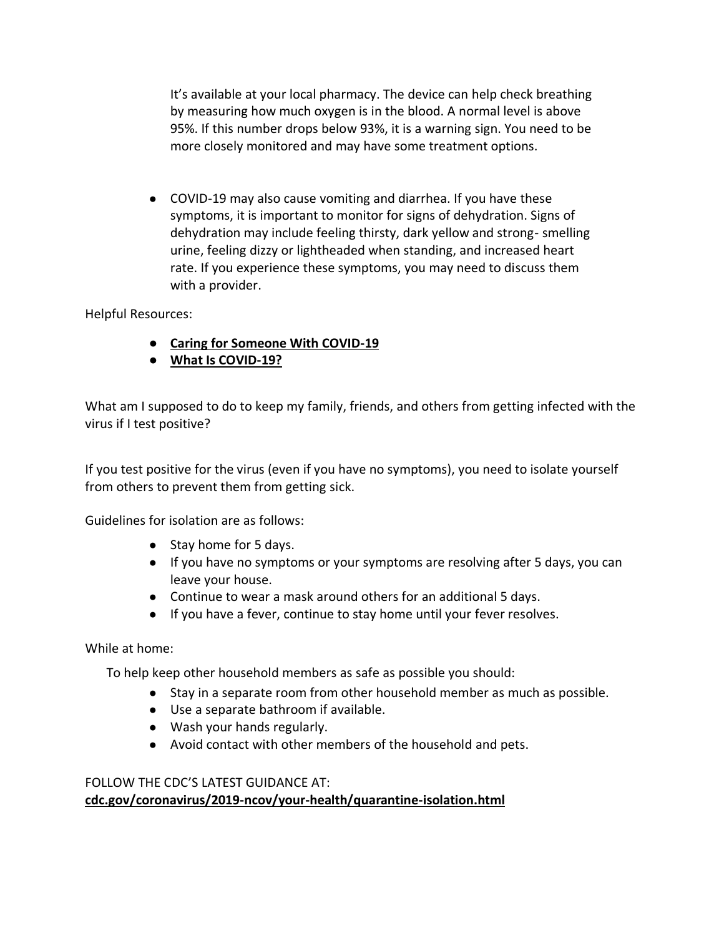It's available at your local pharmacy. The device can help check breathing by measuring how much oxygen is in the blood. A normal level is above 95%. If this number drops below 93%, it is a warning sign. You need to be more closely monitored and may have some treatment options.

● COVID-19 may also cause vomiting and diarrhea. If you have these symptoms, it is important to monitor for signs of dehydration. Signs of dehydration may include feeling thirsty, dark yellow and strong- smelling urine, feeling dizzy or lightheaded when standing, and increased heart rate. If you experience these symptoms, you may need to discuss them with a provider.

Helpful Resources:

- **[Caring for Someone With COVID-19](https://jamanetwork.com/journals/jama/fullarticle/2770415)**
- **[What Is COVID-19?](https://jamanetwork.com/journals/jama/fullarticle/2768390)**

What am I supposed to do to keep my family, friends, and others from getting infected with the virus if I test positive?

If you test positive for the virus (even if you have no symptoms), you need to isolate yourself from others to prevent them from getting sick.

Guidelines for isolation are as follows:

- Stay home for 5 days.
- If you have no symptoms or your symptoms are resolving after 5 days, you can leave your house.
- Continue to wear a mask around others for an additional 5 days.
- If you have a fever, continue to stay home until your fever resolves.

While at home:

To help keep other household members as safe as possible you should:

- Stay in a separate room from other household member as much as possible.
- Use a separate bathroom if available.
- Wash your hands regularly.
- Avoid contact with other members of the household and pets.

## FOLLOW THE CDC'S LATEST GUIDANCE AT: **[cdc.gov/coronavirus/2019-ncov/your-health/quarantine-isolation.html](https://www.cdc.gov/coronavirus/2019-ncov/your-health/quarantine-isolation.html)**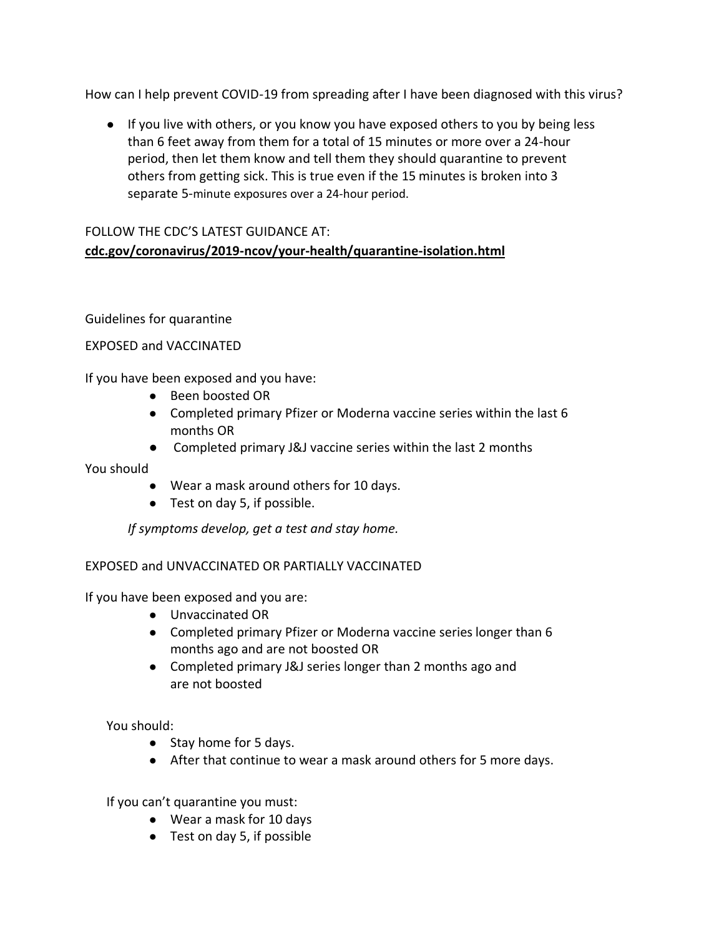How can I help prevent COVID-19 from spreading after I have been diagnosed with this virus?

● If you live with others, or you know you have exposed others to you by being less than 6 feet away from them for a total of 15 minutes or more over a 24-hour period, then let them know and tell them they should quarantine to prevent others from getting sick. This is true even if the 15 minutes is broken into 3 separate 5-minute exposures over a 24-hour period.

# FOLLOW THE CDC'S LATEST GUIDANCE AT: **[cdc.gov/coronavirus/2019-ncov/your-health/quarantine-isolation.html](https://www.cdc.gov/coronavirus/2019-ncov/your-health/quarantine-isolation.html)**

Guidelines for quarantine

EXPOSED and VACCINATED

If you have been exposed and you have:

- Been boosted OR
- Completed primary Pfizer or Moderna vaccine series within the last 6 months OR
- Completed primary J&J vaccine series within the last 2 months

You should

- Wear a mask around others for 10 days.
- Test on day 5, if possible.

*If symptoms develop, get a test and stay home.*

EXPOSED and UNVACCINATED OR PARTIALLY VACCINATED

If you have been exposed and you are:

- Unvaccinated OR
- Completed primary Pfizer or Moderna vaccine series longer than 6 months ago and are not boosted OR
- Completed primary J&J series longer than 2 months ago and are not boosted

You should:

- Stay home for 5 days.
- After that continue to wear a mask around others for 5 more days.

If you can't quarantine you must:

- Wear a mask for 10 days
- Test on day 5, if possible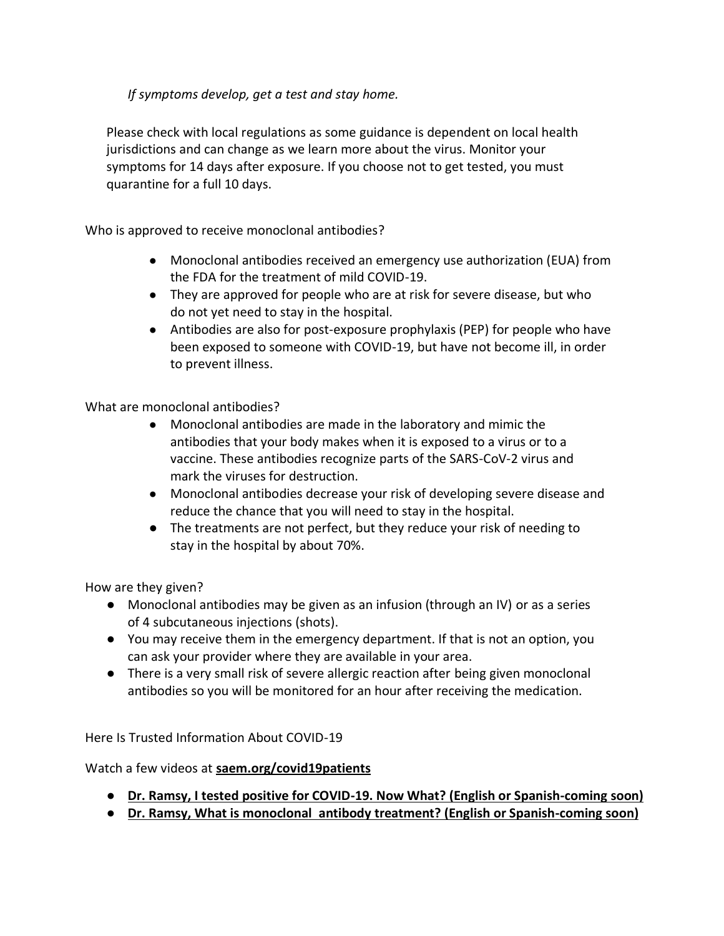*If symptoms develop, get a test and stay home.*

Please check with local regulations as some guidance is dependent on local health jurisdictions and can change as we learn more about the virus. Monitor your symptoms for 14 days after exposure. If you choose not to get tested, you must quarantine for a full 10 days.

Who is approved to receive monoclonal antibodies?

- Monoclonal antibodies received an emergency use authorization (EUA) from the FDA for the treatment of mild COVID-19.
- They are approved for people who are at risk for severe disease, but who do not yet need to stay in the hospital.
- Antibodies are also for post-exposure prophylaxis (PEP) for people who have been exposed to someone with COVID-19, but have not become ill, in order to prevent illness.

What are monoclonal antibodies?

- Monoclonal antibodies are made in the laboratory and mimic the antibodies that your body makes when it is exposed to a virus or to a vaccine. These antibodies recognize parts of the SARS-CoV-2 virus and mark the viruses for destruction.
- Monoclonal antibodies decrease your risk of developing severe disease and reduce the chance that you will need to stay in the hospital.
- The treatments are not perfect, but they reduce your risk of needing to stay in the hospital by about 70%.

How are they given?

- Monoclonal antibodies may be given as an infusion (through an IV) or as a series of 4 subcutaneous injections (shots).
- You may receive them in the emergency department. If that is not an option, you can ask your provider where they are available in your area.
- There is a very small risk of severe allergic reaction after being given monoclonal antibodies so you will be monitored for an hour after receiving the medication.

Here Is Trusted Information About COVID-19

Watch a few videos at **[saem.org/covid19patients](https://www.saem.org/education/saem-online-academic-resources/wellness-and-resilience/covid-19-patient-toolkit)**

- **[Dr. Ramsy, I tested positive for COVID-19. Now What?](https://www.youtube.com/watch?v=tdMg2m5qUxI) (English or Spanish-coming soon)**
- **[Dr. Ramsy, What is monoclonal antibody treatment?](https://www.youtube.com/watch?v=bTgn2DpeZGA) (English or Spanish-coming soon)**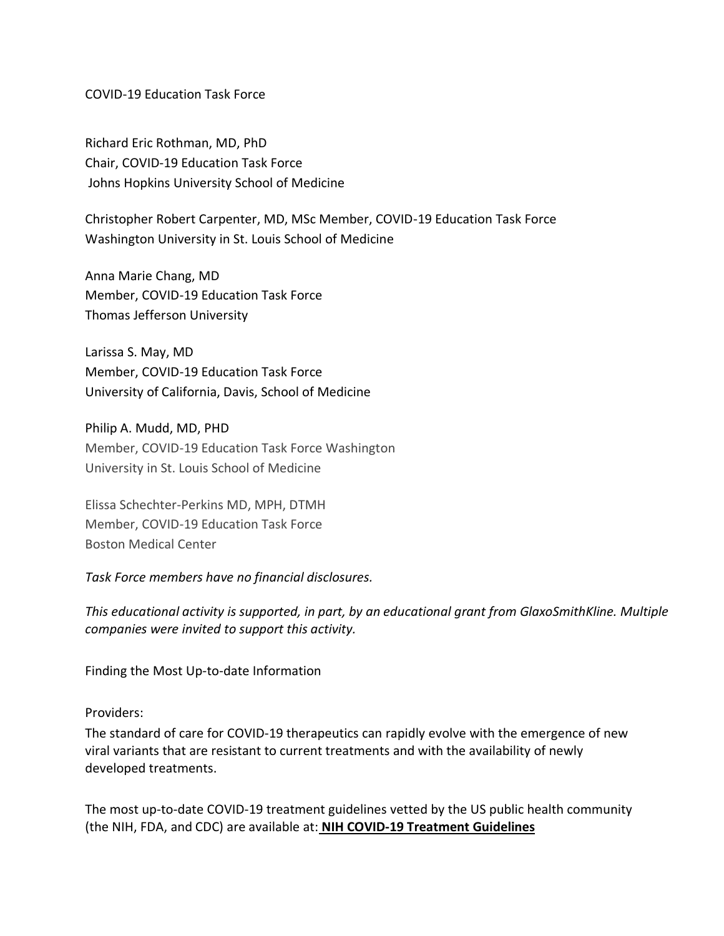#### COVID-19 Education Task Force

Richard Eric Rothman, MD, PhD Chair, COVID-19 Education Task Force Johns Hopkins University School of Medicine

Christopher Robert Carpenter, MD, MSc Member, COVID-19 Education Task Force Washington University in St. Louis School of Medicine

Anna Marie Chang, MD Member, COVID-19 Education Task Force Thomas Jefferson University

Larissa S. May, MD Member, COVID-19 Education Task Force University of California, Davis, School of Medicine

Philip A. Mudd, MD, PHD Member, COVID-19 Education Task Force Washington University in St. Louis School of Medicine

Elissa Schechter-Perkins MD, MPH, DTMH Member, COVID-19 Education Task Force Boston Medical Center

*Task Force members have no financial disclosures.*

*This educational activity is supported, in part, by an educational grant from GlaxoSmithKline. Multiple companies were invited to support this activity.*

Finding the Most Up-to-date Information

#### Providers:

The standard of care for COVID-19 therapeutics can rapidly evolve with the emergence of new viral variants that are resistant to current treatments and with the availability of newly developed treatments.

The most up-to-date COVID-19 treatment guidelines vetted by the US public health community (the NIH, FDA, and CDC) are available at: **[NIH COVID-19 Treatment Guidelines](https://www.covid19treatmentguidelines.nih.gov/)**